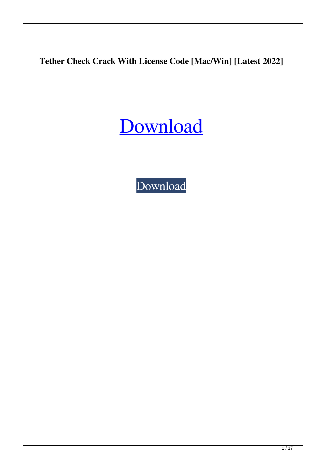**Tether Check Crack With License Code [Mac/Win] [Latest 2022]**

[Download](http://evacdir.com/VGV0aGVyIENoZWNrVGV/entertained.karts.memberships.oversensitivity/ruptures/savages.ZG93bmxvYWR8UDJGTWpVMFkzeDhNVFkxTkRVeU1qRXhNSHg4TWpVM05IeDhLRTBwSUhKbFlXUXRZbXh2WnlCYlJtRnpkQ0JIUlU1ZA)

[Download](http://evacdir.com/VGV0aGVyIENoZWNrVGV/entertained.karts.memberships.oversensitivity/ruptures/savages.ZG93bmxvYWR8UDJGTWpVMFkzeDhNVFkxTkRVeU1qRXhNSHg4TWpVM05IeDhLRTBwSUhKbFlXUXRZbXh2WnlCYlJtRnpkQ0JIUlU1ZA)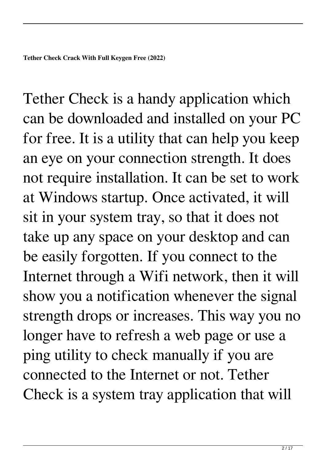Tether Check is a handy application which can be downloaded and installed on your PC for free. It is a utility that can help you keep an eye on your connection strength. It does not require installation. It can be set to work at Windows startup. Once activated, it will sit in your system tray, so that it does not take up any space on your desktop and can be easily forgotten. If you connect to the Internet through a Wifi network, then it will show you a notification whenever the signal strength drops or increases. This way you no longer have to refresh a web page or use a ping utility to check manually if you are connected to the Internet or not. Tether Check is a system tray application that will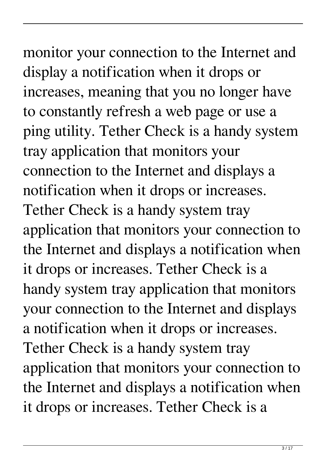# monitor your connection to the Internet and

display a notification when it drops or increases, meaning that you no longer have to constantly refresh a web page or use a ping utility. Tether Check is a handy system tray application that monitors your connection to the Internet and displays a notification when it drops or increases. Tether Check is a handy system tray application that monitors your connection to the Internet and displays a notification when it drops or increases. Tether Check is a handy system tray application that monitors your connection to the Internet and displays a notification when it drops or increases. Tether Check is a handy system tray application that monitors your connection to the Internet and displays a notification when it drops or increases. Tether Check is a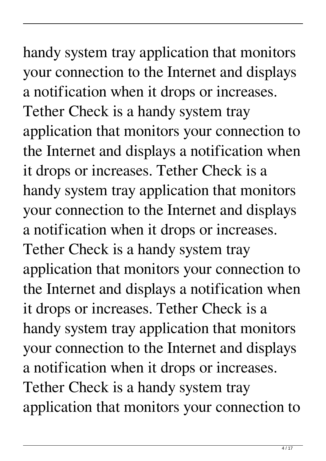handy system tray application that monitors your connection to the Internet and displays a notification when it drops or increases. Tether Check is a handy system tray application that monitors your connection to the Internet and displays a notification when it drops or increases. Tether Check is a handy system tray application that monitors your connection to the Internet and displays a notification when it drops or increases. Tether Check is a handy system tray application that monitors your connection to the Internet and displays a notification when it drops or increases. Tether Check is a handy system tray application that monitors your connection to the Internet and displays a notification when it drops or increases. Tether Check is a handy system tray application that monitors your connection to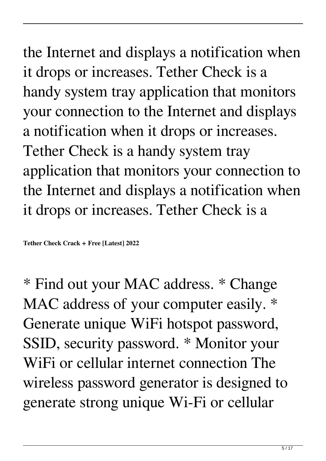the Internet and displays a notification when it drops or increases. Tether Check is a handy system tray application that monitors your connection to the Internet and displays a notification when it drops or increases. Tether Check is a handy system tray application that monitors your connection to the Internet and displays a notification when it drops or increases. Tether Check is a

**Tether Check Crack + Free [Latest] 2022**

\* Find out your MAC address. \* Change MAC address of your computer easily.  $*$ Generate unique WiFi hotspot password, SSID, security password. \* Monitor your WiFi or cellular internet connection The wireless password generator is designed to generate strong unique Wi-Fi or cellular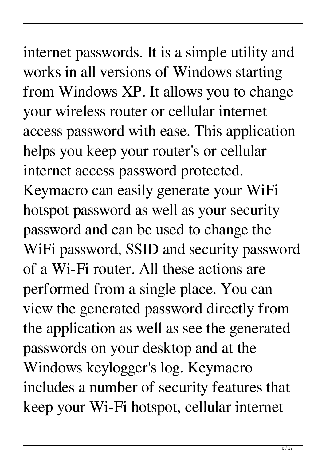# internet passwords. It is a simple utility and works in all versions of Windows starting

from Windows XP. It allows you to change your wireless router or cellular internet access password with ease. This application helps you keep your router's or cellular internet access password protected. Keymacro can easily generate your WiFi hotspot password as well as your security password and can be used to change the WiFi password, SSID and security password of a Wi-Fi router. All these actions are performed from a single place. You can view the generated password directly from the application as well as see the generated passwords on your desktop and at the Windows keylogger's log. Keymacro includes a number of security features that keep your Wi-Fi hotspot, cellular internet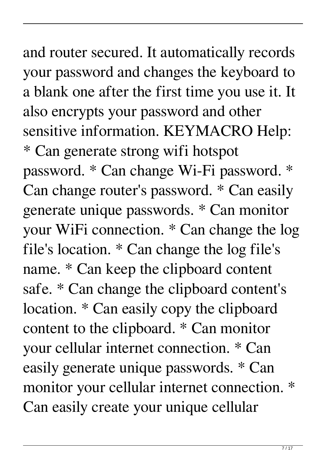### and router secured. It automatically records your password and changes the keyboard to a blank one after the first time you use it. It also encrypts your password and other sensitive information. KEYMACRO Help: \* Can generate strong wifi hotspot

password. \* Can change Wi-Fi password. \* Can change router's password. \* Can easily generate unique passwords. \* Can monitor your WiFi connection. \* Can change the log file's location. \* Can change the log file's name. \* Can keep the clipboard content safe. \* Can change the clipboard content's location. \* Can easily copy the clipboard content to the clipboard. \* Can monitor your cellular internet connection. \* Can easily generate unique passwords. \* Can monitor your cellular internet connection. \* Can easily create your unique cellular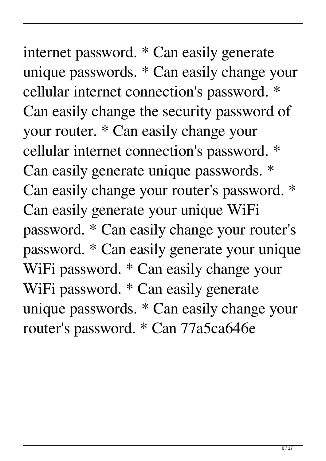internet password. \* Can easily generate unique passwords. \* Can easily change your cellular internet connection's password. \* Can easily change the security password of your router. \* Can easily change your cellular internet connection's password. \* Can easily generate unique passwords. \* Can easily change your router's password. \* Can easily generate your unique WiFi password. \* Can easily change your router's password. \* Can easily generate your unique WiFi password. \* Can easily change your WiFi password. \* Can easily generate unique passwords. \* Can easily change your router's password. \* Can 77a5ca646e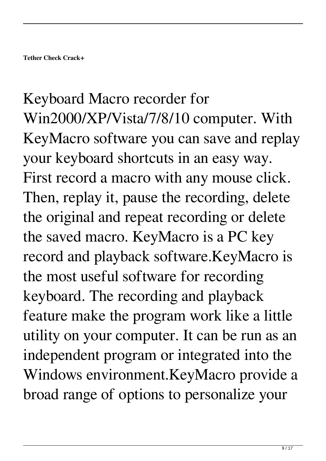Keyboard Macro recorder for Win2000/XP/Vista/7/8/10 computer. With KeyMacro software you can save and replay your keyboard shortcuts in an easy way. First record a macro with any mouse click. Then, replay it, pause the recording, delete the original and repeat recording or delete the saved macro. KeyMacro is a PC key record and playback software.KeyMacro is the most useful software for recording keyboard. The recording and playback feature make the program work like a little utility on your computer. It can be run as an independent program or integrated into the Windows environment.KeyMacro provide a broad range of options to personalize your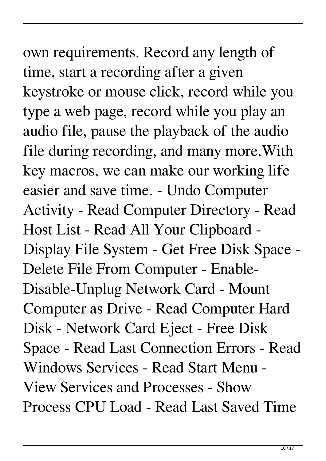# own requirements. Record any length of time, start a recording after a given keystroke or mouse click, record while you type a web page, record while you play an audio file, pause the playback of the audio file during recording, and many more.With key macros, we can make our working life easier and save time. - Undo Computer Activity - Read Computer Directory - Read Host List - Read All Your Clipboard - Display File System - Get Free Disk Space - Delete File From Computer - Enable-Disable-Unplug Network Card - Mount Computer as Drive - Read Computer Hard Disk - Network Card Eject - Free Disk Space - Read Last Connection Errors - Read

Windows Services - Read Start Menu - View Services and Processes - Show Process CPU Load - Read Last Saved Time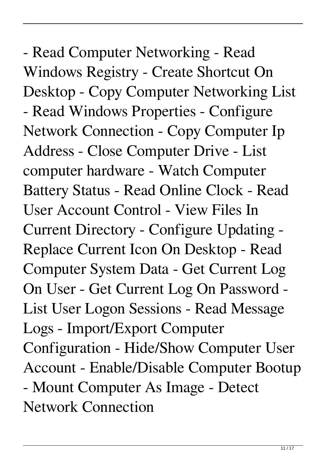- Read Computer Networking - Read Windows Registry - Create Shortcut On Desktop - Copy Computer Networking List - Read Windows Properties - Configure Network Connection - Copy Computer Ip Address - Close Computer Drive - List computer hardware - Watch Computer Battery Status - Read Online Clock - Read User Account Control - View Files In Current Directory - Configure Updating - Replace Current Icon On Desktop - Read Computer System Data - Get Current Log On User - Get Current Log On Password - List User Logon Sessions - Read Message Logs - Import/Export Computer Configuration - Hide/Show Computer User Account - Enable/Disable Computer Bootup - Mount Computer As Image - Detect Network Connection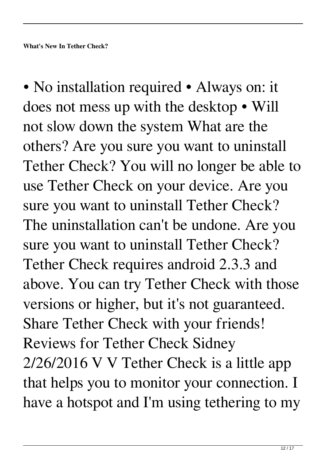• No installation required • Always on: it does not mess up with the desktop • Will not slow down the system What are the others? Are you sure you want to uninstall Tether Check? You will no longer be able to use Tether Check on your device. Are you sure you want to uninstall Tether Check? The uninstallation can't be undone. Are you sure you want to uninstall Tether Check? Tether Check requires android 2.3.3 and above. You can try Tether Check with those versions or higher, but it's not guaranteed. Share Tether Check with your friends! Reviews for Tether Check Sidney 2/26/2016 V V Tether Check is a little app that helps you to monitor your connection. I have a hotspot and I'm using tethering to my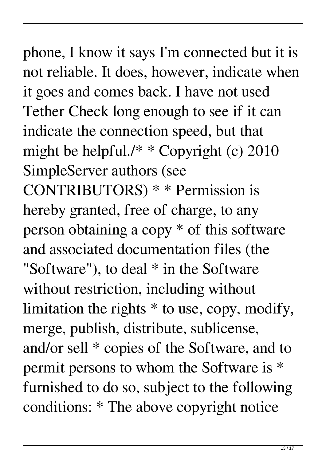phone, I know it says I'm connected but it is not reliable. It does, however, indicate when it goes and comes back. I have not used Tether Check long enough to see if it can indicate the connection speed, but that might be helpful./\* \* Copyright (c) 2010 SimpleServer authors (see CONTRIBUTORS) \* \* Permission is hereby granted, free of charge, to any person obtaining a copy \* of this software and associated documentation files (the "Software"), to deal \* in the Software without restriction, including without limitation the rights \* to use, copy, modify, merge, publish, distribute, sublicense, and/or sell \* copies of the Software, and to permit persons to whom the Software is \* furnished to do so, subject to the following conditions: \* The above copyright notice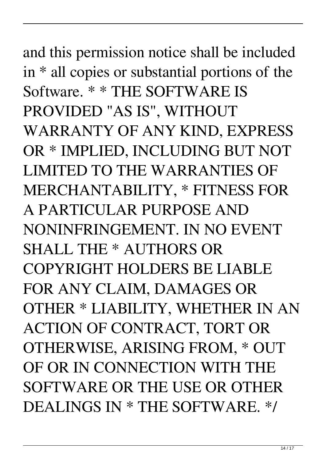# and this permission notice shall be included in \* all copies or substantial portions of the Software. \* \* THE SOFTWARE IS PROVIDED "AS IS", WITHOUT WARRANTY OF ANY KIND, EXPRESS OR \* IMPLIED, INCLUDING BUT NOT LIMITED TO THE WARRANTIES OF MERCHANTABILITY, \* FITNESS FOR A PARTICULAR PURPOSE AND NONINFRINGEMENT. IN NO EVENT SHALL THE \* AUTHORS OR COPYRIGHT HOLDERS BE LIABLE FOR ANY CLAIM, DAMAGES OR OTHER \* LIABILITY, WHETHER IN AN ACTION OF CONTRACT, TORT OR OTHERWISE, ARISING FROM, \* OUT OF OR IN CONNECTION WITH THE SOFTWARE OR THE USE OR OTHER DEALINGS IN \* THE SOFTWARE. \*/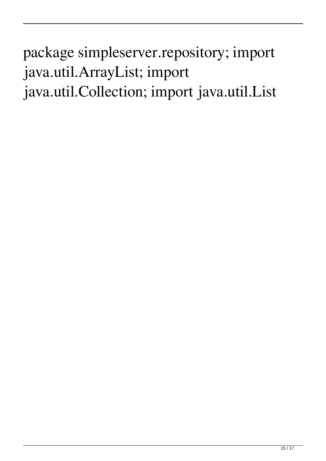## package simpleserver.repository; import java.util.ArrayList; import java.util.Collection; import java.util.List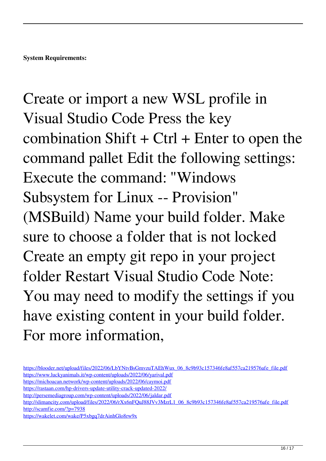Create or import a new WSL profile in Visual Studio Code Press the key combination Shift  $+$  Ctrl  $+$  Enter to open the command pallet Edit the following settings: Execute the command: "Windows Subsystem for Linux -- Provision" (MSBuild) Name your build folder. Make sure to choose a folder that is not locked Create an empty git repo in your project folder Restart Visual Studio Code Note: You may need to modify the settings if you have existing content in your build folder. For more information,

[https://blooder.net/upload/files/2022/06/LbYNtvBsGmvzuTAEhWux\\_06\\_8c9b93c157346fe8af557ca219576afe\\_file.pdf](https://blooder.net/upload/files/2022/06/LbYNtvBsGmvzuTAEhWux_06_8c9b93c157346fe8af557ca219576afe_file.pdf) <https://www.luckyanimals.it/wp-content/uploads/2022/06/yarival.pdf> <https://michoacan.network/wp-content/uploads/2022/06/caymoi.pdf> <https://rastaan.com/hp-drivers-update-utility-crack-updated-2022/> <http://persemediagroup.com/wp-content/uploads/2022/06/jaldar.pdf> [http://slimancity.com/upload/files/2022/06/rXx6nFQuJ88JVv3MzrL1\\_06\\_8c9b93c157346fe8af557ca219576afe\\_file.pdf](http://slimancity.com/upload/files/2022/06/rXx6nFQuJ88JVv3MzrL1_06_8c9b93c157346fe8af557ca219576afe_file.pdf) <http://scamfie.com/?p=7938>

<https://wakelet.com/wake/P5xbgq7drAinhGlo8rw9x>